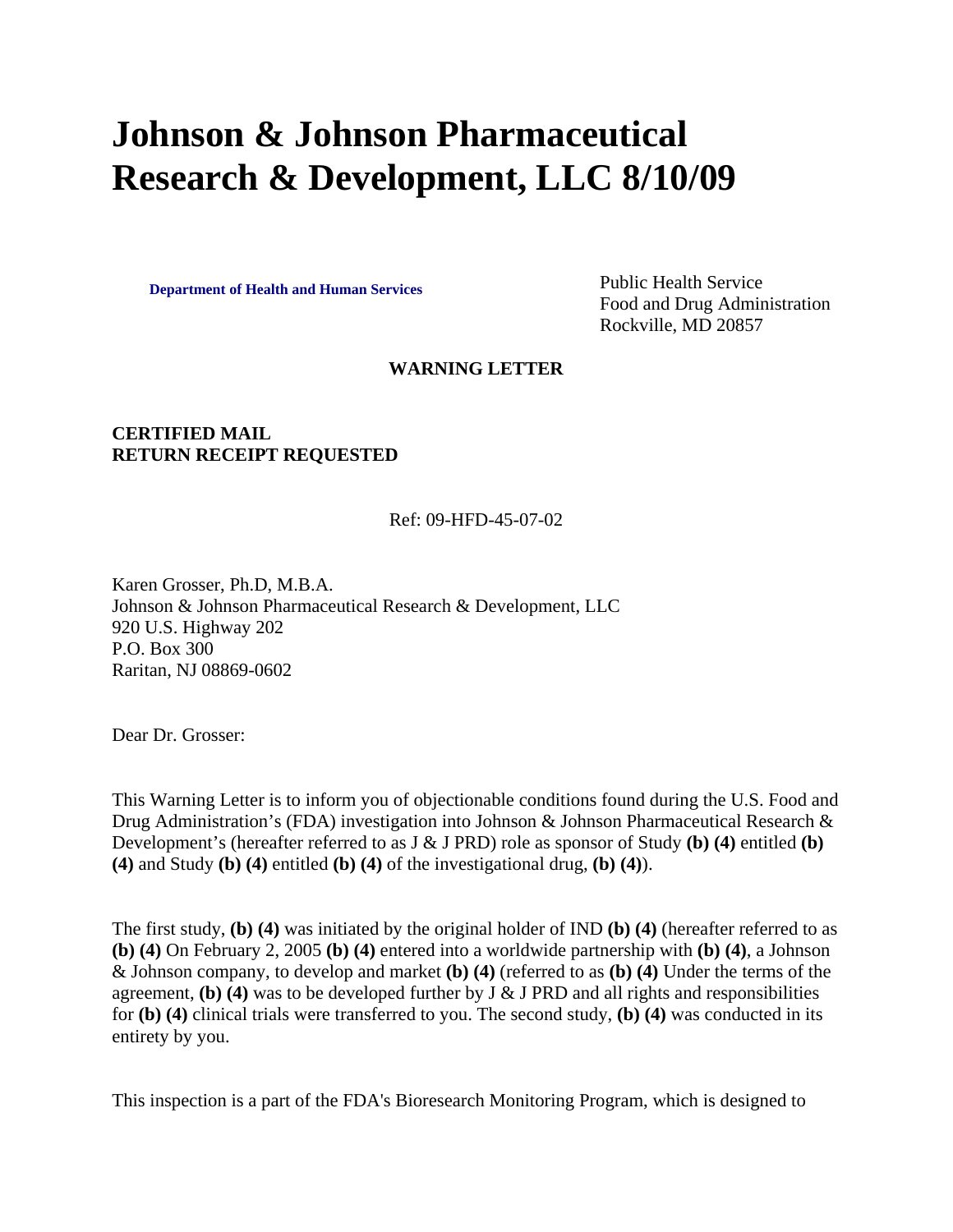# **Johnson & Johnson Pharmaceutical Research & Development, LLC 8/10/09**

**Department of Health and Human Services** Public Health Service

Food and Drug Administration Rockville, MD 20857

#### **WARNING LETTER**

### **CERTIFIED MAIL RETURN RECEIPT REQUESTED**

#### Ref: 09-HFD-45-07-02

Karen Grosser, Ph.D, M.B.A. Johnson & Johnson Pharmaceutical Research & Development, LLC 920 U.S. Highway 202 P.O. Box 300 Raritan, NJ 08869-0602

Dear Dr. Grosser:

This Warning Letter is to inform you of objectionable conditions found during the U.S. Food and Drug Administration's (FDA) investigation into Johnson & Johnson Pharmaceutical Research & Development's (hereafter referred to as J & J PRD) role as sponsor of Study **(b) (4)** entitled **(b) (4)** and Study **(b) (4)** entitled **(b) (4)** of the investigational drug, **(b) (4)**).

The first study, **(b) (4)** was initiated by the original holder of IND **(b) (4)** (hereafter referred to as **(b) (4)** On February 2, 2005 **(b) (4)** entered into a worldwide partnership with **(b) (4)**, a Johnson & Johnson company, to develop and market **(b) (4)** (referred to as **(b) (4)** Under the terms of the agreement, **(b)** (4) was to be developed further by  $J \& J \n{R}$  PRD and all rights and responsibilities for **(b) (4)** clinical trials were transferred to you. The second study, **(b) (4)** was conducted in its entirety by you.

This inspection is a part of the FDA's Bioresearch Monitoring Program, which is designed to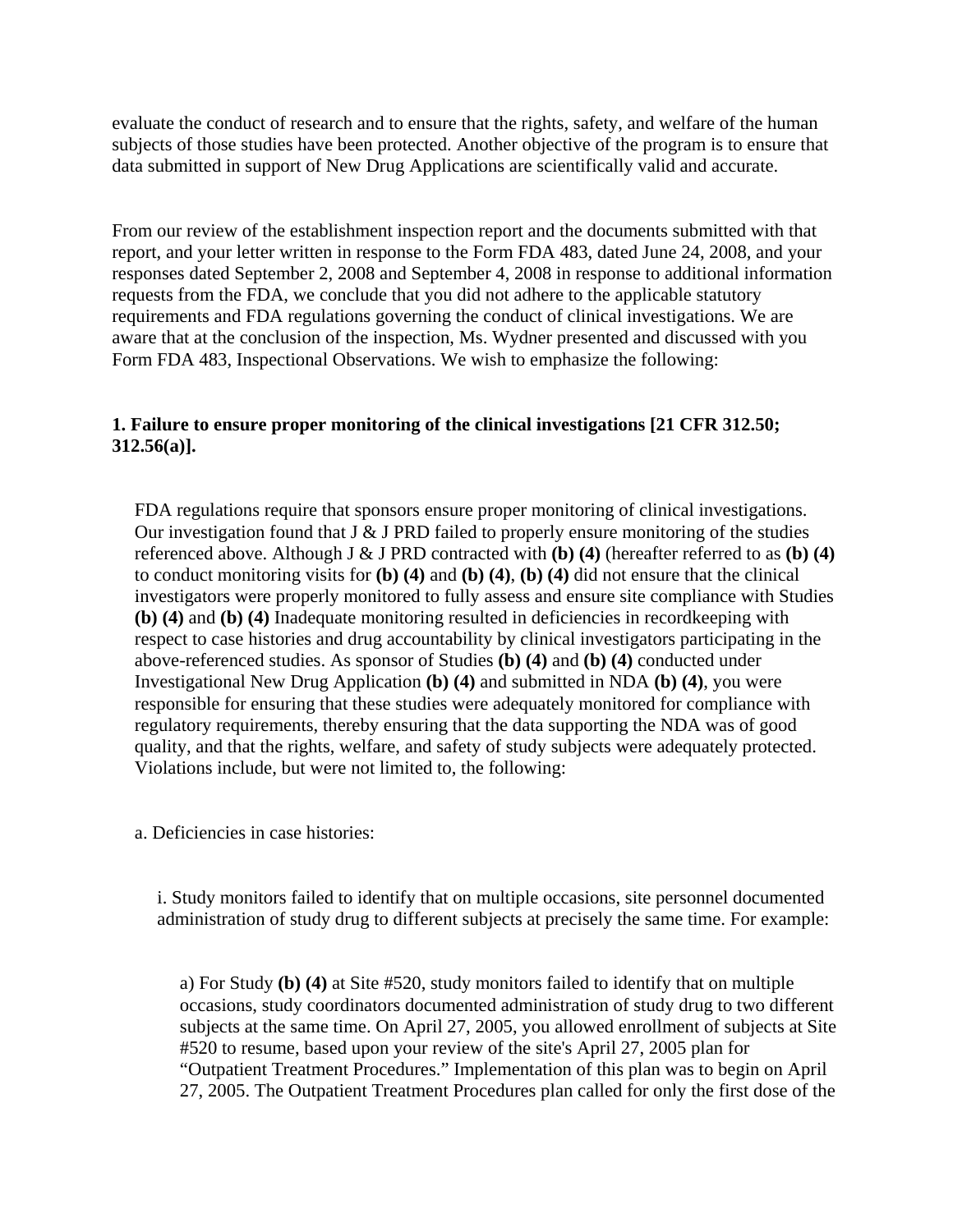evaluate the conduct of research and to ensure that the rights, safety, and welfare of the human subjects of those studies have been protected. Another objective of the program is to ensure that data submitted in support of New Drug Applications are scientifically valid and accurate.

From our review of the establishment inspection report and the documents submitted with that report, and your letter written in response to the Form FDA 483, dated June 24, 2008, and your responses dated September 2, 2008 and September 4, 2008 in response to additional information requests from the FDA, we conclude that you did not adhere to the applicable statutory requirements and FDA regulations governing the conduct of clinical investigations. We are aware that at the conclusion of the inspection, Ms. Wydner presented and discussed with you Form FDA 483, Inspectional Observations. We wish to emphasize the following:

## **1. Failure to ensure proper monitoring of the clinical investigations [21 CFR 312.50; 312.56(a)].**

FDA regulations require that sponsors ensure proper monitoring of clinical investigations. Our investigation found that  $J & J$  PRD failed to properly ensure monitoring of the studies referenced above. Although J & J PRD contracted with **(b) (4)** (hereafter referred to as **(b) (4)** to conduct monitoring visits for **(b) (4)** and **(b) (4)**, **(b) (4)** did not ensure that the clinical investigators were properly monitored to fully assess and ensure site compliance with Studies **(b) (4)** and **(b) (4)** Inadequate monitoring resulted in deficiencies in recordkeeping with respect to case histories and drug accountability by clinical investigators participating in the above-referenced studies. As sponsor of Studies **(b) (4)** and **(b) (4)** conducted under Investigational New Drug Application **(b) (4)** and submitted in NDA **(b) (4)**, you were responsible for ensuring that these studies were adequately monitored for compliance with regulatory requirements, thereby ensuring that the data supporting the NDA was of good quality, and that the rights, welfare, and safety of study subjects were adequately protected. Violations include, but were not limited to, the following:

a. Deficiencies in case histories:

i. Study monitors failed to identify that on multiple occasions, site personnel documented administration of study drug to different subjects at precisely the same time. For example:

a) For Study **(b) (4)** at Site #520, study monitors failed to identify that on multiple occasions, study coordinators documented administration of study drug to two different subjects at the same time. On April 27, 2005, you allowed enrollment of subjects at Site #520 to resume, based upon your review of the site's April 27, 2005 plan for "Outpatient Treatment Procedures." Implementation of this plan was to begin on April 27, 2005. The Outpatient Treatment Procedures plan called for only the first dose of the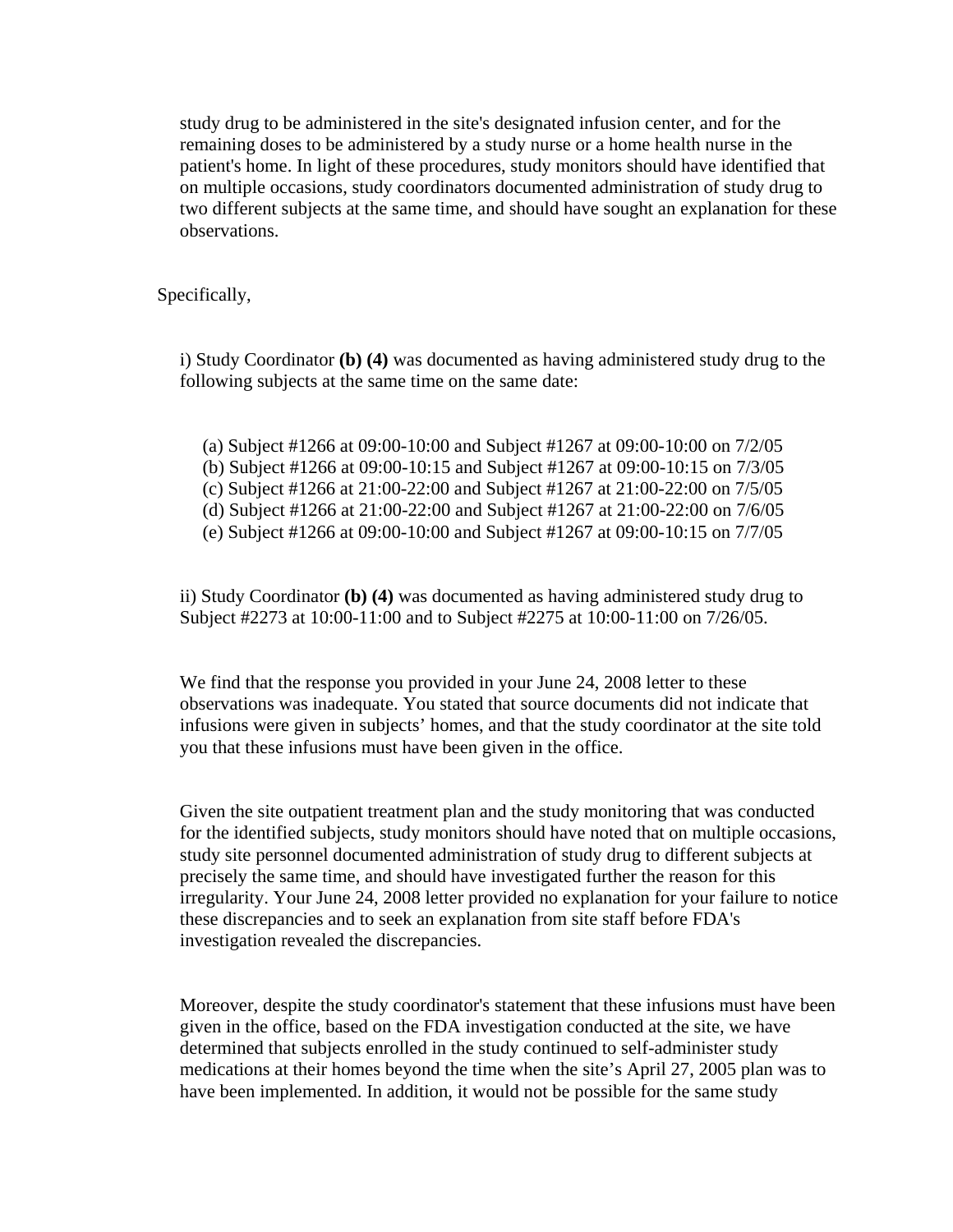study drug to be administered in the site's designated infusion center, and for the remaining doses to be administered by a study nurse or a home health nurse in the patient's home. In light of these procedures, study monitors should have identified that on multiple occasions, study coordinators documented administration of study drug to two different subjects at the same time, and should have sought an explanation for these observations.

Specifically,

i) Study Coordinator **(b) (4)** was documented as having administered study drug to the following subjects at the same time on the same date:

- (a) Subject #1266 at 09:00-10:00 and Subject #1267 at 09:00-10:00 on 7/2/05
- (b) Subject #1266 at 09:00-10:15 and Subject #1267 at 09:00-10:15 on 7/3/05
- (c) Subject #1266 at 21:00-22:00 and Subject #1267 at 21:00-22:00 on 7/5/05
- (d) Subject #1266 at 21:00-22:00 and Subject #1267 at 21:00-22:00 on 7/6/05
- (e) Subject #1266 at 09:00-10:00 and Subject #1267 at 09:00-10:15 on 7/7/05

ii) Study Coordinator **(b) (4)** was documented as having administered study drug to Subject #2273 at 10:00-11:00 and to Subject #2275 at 10:00-11:00 on 7/26/05.

We find that the response you provided in your June 24, 2008 letter to these observations was inadequate. You stated that source documents did not indicate that infusions were given in subjects' homes, and that the study coordinator at the site told you that these infusions must have been given in the office.

Given the site outpatient treatment plan and the study monitoring that was conducted for the identified subjects, study monitors should have noted that on multiple occasions, study site personnel documented administration of study drug to different subjects at precisely the same time, and should have investigated further the reason for this irregularity. Your June 24, 2008 letter provided no explanation for your failure to notice these discrepancies and to seek an explanation from site staff before FDA's investigation revealed the discrepancies.

Moreover, despite the study coordinator's statement that these infusions must have been given in the office, based on the FDA investigation conducted at the site, we have determined that subjects enrolled in the study continued to self-administer study medications at their homes beyond the time when the site's April 27, 2005 plan was to have been implemented. In addition, it would not be possible for the same study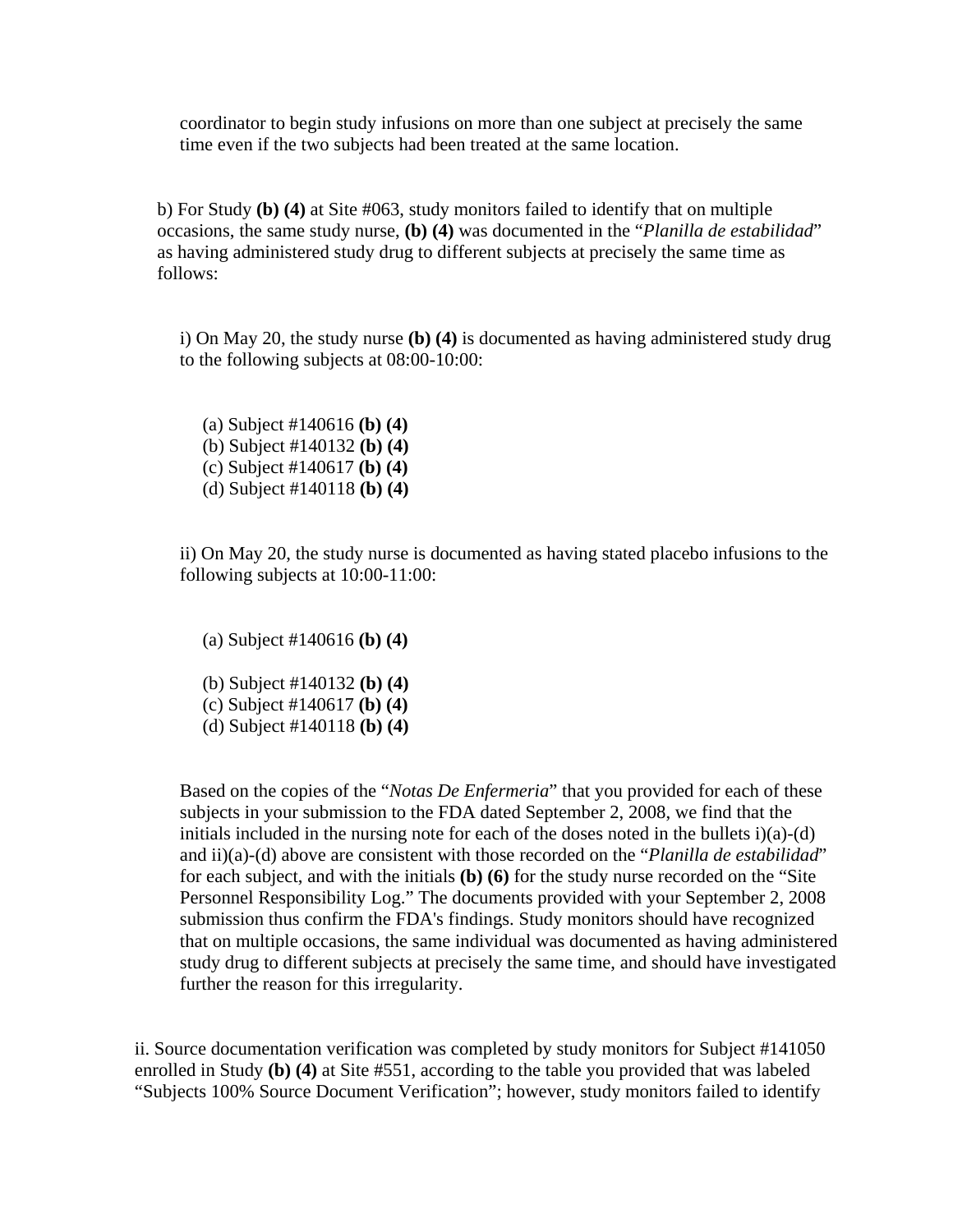coordinator to begin study infusions on more than one subject at precisely the same time even if the two subjects had been treated at the same location.

b) For Study **(b) (4)** at Site #063, study monitors failed to identify that on multiple occasions, the same study nurse, **(b) (4)** was documented in the "*Planilla de estabilidad*" as having administered study drug to different subjects at precisely the same time as follows:

i) On May 20, the study nurse **(b) (4)** is documented as having administered study drug to the following subjects at 08:00-10:00:

(a) Subject #140616 **(b) (4)** (b) Subject #140132 **(b) (4)** (c) Subject #140617 **(b) (4)** (d) Subject #140118 **(b) (4)**

ii) On May 20, the study nurse is documented as having stated placebo infusions to the following subjects at 10:00-11:00:

(a) Subject #140616 **(b) (4)**

- (b) Subject #140132 **(b) (4)**
- (c) Subject #140617 **(b) (4)**
- (d) Subject #140118 **(b) (4)**

Based on the copies of the "*Notas De Enfermeria*" that you provided for each of these subjects in your submission to the FDA dated September 2, 2008, we find that the initials included in the nursing note for each of the doses noted in the bullets  $i)(a)-(d)$ and ii)(a)-(d) above are consistent with those recorded on the "*Planilla de estabilidad*" for each subject, and with the initials **(b) (6)** for the study nurse recorded on the "Site Personnel Responsibility Log." The documents provided with your September 2, 2008 submission thus confirm the FDA's findings. Study monitors should have recognized that on multiple occasions, the same individual was documented as having administered study drug to different subjects at precisely the same time, and should have investigated further the reason for this irregularity.

ii. Source documentation verification was completed by study monitors for Subject #141050 enrolled in Study **(b) (4)** at Site #551, according to the table you provided that was labeled "Subjects 100% Source Document Verification"; however, study monitors failed to identify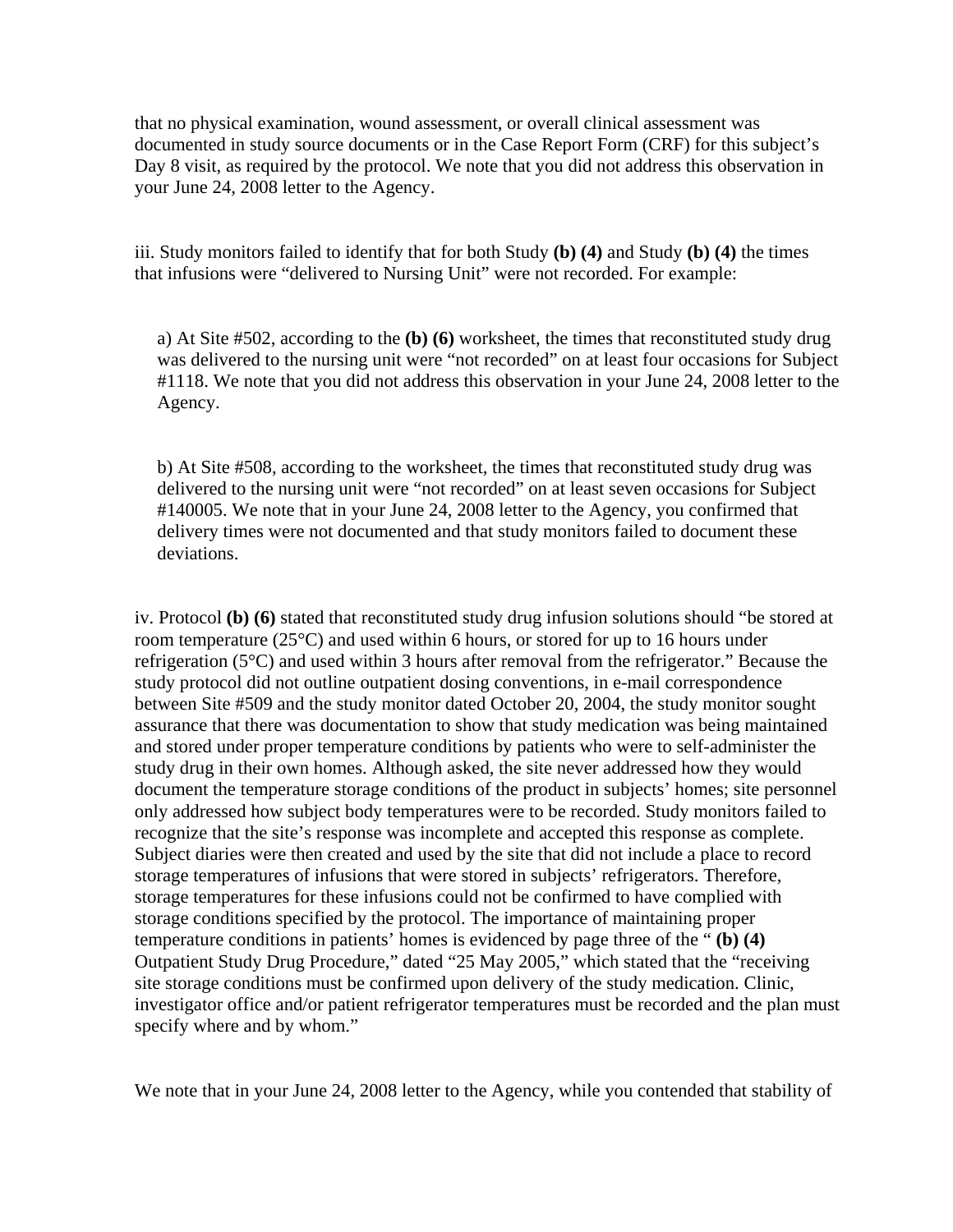that no physical examination, wound assessment, or overall clinical assessment was documented in study source documents or in the Case Report Form (CRF) for this subject's Day 8 visit, as required by the protocol. We note that you did not address this observation in your June 24, 2008 letter to the Agency.

iii. Study monitors failed to identify that for both Study **(b) (4)** and Study **(b) (4)** the times that infusions were "delivered to Nursing Unit" were not recorded. For example:

a) At Site #502, according to the **(b) (6)** worksheet, the times that reconstituted study drug was delivered to the nursing unit were "not recorded" on at least four occasions for Subject #1118. We note that you did not address this observation in your June 24, 2008 letter to the Agency.

b) At Site #508, according to the worksheet, the times that reconstituted study drug was delivered to the nursing unit were "not recorded" on at least seven occasions for Subject #140005. We note that in your June 24, 2008 letter to the Agency, you confirmed that delivery times were not documented and that study monitors failed to document these deviations.

iv. Protocol **(b) (6)** stated that reconstituted study drug infusion solutions should "be stored at room temperature (25°C) and used within 6 hours, or stored for up to 16 hours under refrigeration (5°C) and used within 3 hours after removal from the refrigerator." Because the study protocol did not outline outpatient dosing conventions, in e-mail correspondence between Site #509 and the study monitor dated October 20, 2004, the study monitor sought assurance that there was documentation to show that study medication was being maintained and stored under proper temperature conditions by patients who were to self-administer the study drug in their own homes. Although asked, the site never addressed how they would document the temperature storage conditions of the product in subjects' homes; site personnel only addressed how subject body temperatures were to be recorded. Study monitors failed to recognize that the site's response was incomplete and accepted this response as complete. Subject diaries were then created and used by the site that did not include a place to record storage temperatures of infusions that were stored in subjects' refrigerators. Therefore, storage temperatures for these infusions could not be confirmed to have complied with storage conditions specified by the protocol. The importance of maintaining proper temperature conditions in patients' homes is evidenced by page three of the " **(b) (4)**  Outpatient Study Drug Procedure," dated "25 May 2005," which stated that the "receiving site storage conditions must be confirmed upon delivery of the study medication. Clinic, investigator office and/or patient refrigerator temperatures must be recorded and the plan must specify where and by whom."

We note that in your June 24, 2008 letter to the Agency, while you contended that stability of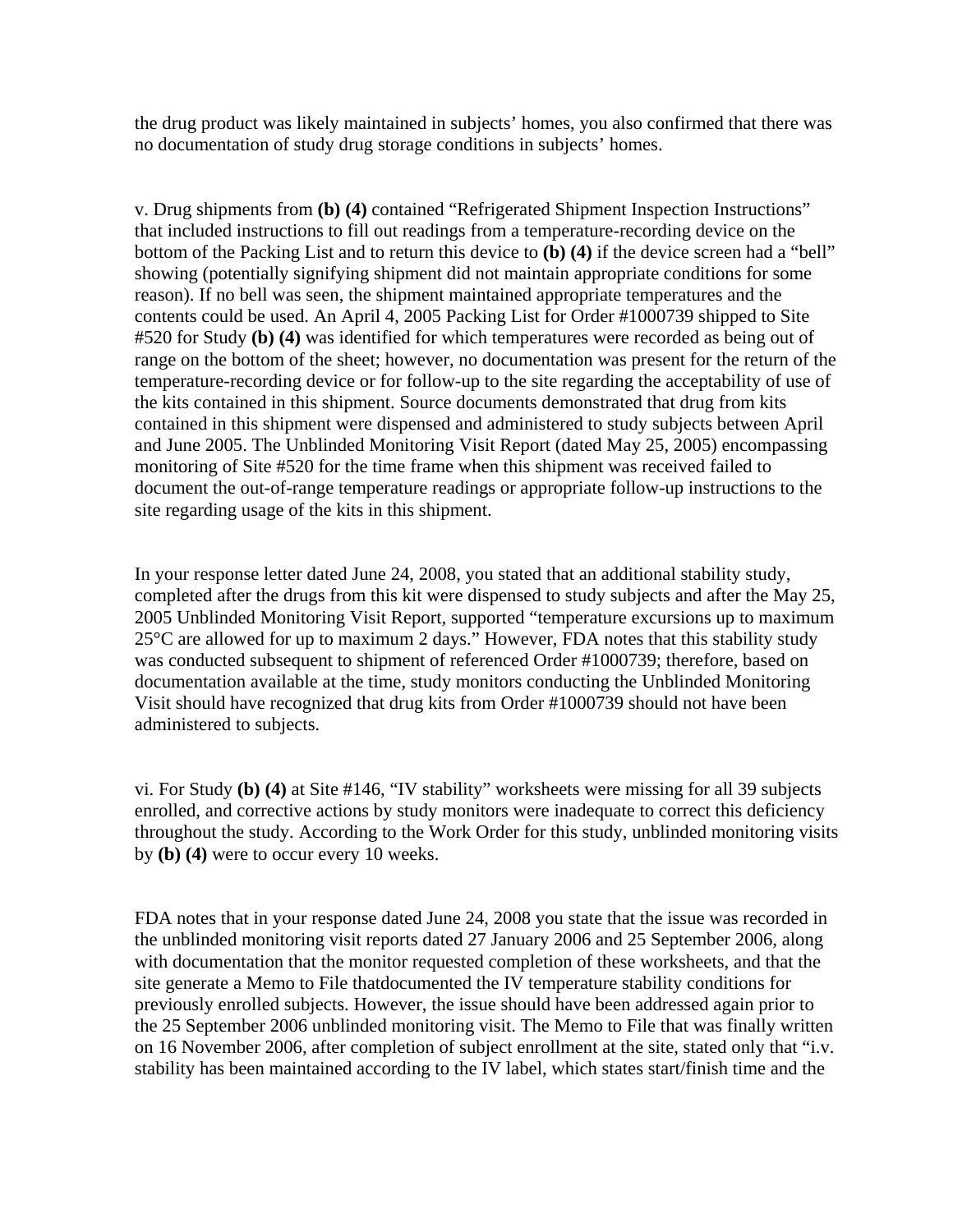the drug product was likely maintained in subjects' homes, you also confirmed that there was no documentation of study drug storage conditions in subjects' homes.

v. Drug shipments from **(b) (4)** contained "Refrigerated Shipment Inspection Instructions" that included instructions to fill out readings from a temperature-recording device on the bottom of the Packing List and to return this device to **(b) (4)** if the device screen had a "bell" showing (potentially signifying shipment did not maintain appropriate conditions for some reason). If no bell was seen, the shipment maintained appropriate temperatures and the contents could be used. An April 4, 2005 Packing List for Order #1000739 shipped to Site #520 for Study **(b) (4)** was identified for which temperatures were recorded as being out of range on the bottom of the sheet; however, no documentation was present for the return of the temperature-recording device or for follow-up to the site regarding the acceptability of use of the kits contained in this shipment. Source documents demonstrated that drug from kits contained in this shipment were dispensed and administered to study subjects between April and June 2005. The Unblinded Monitoring Visit Report (dated May 25, 2005) encompassing monitoring of Site #520 for the time frame when this shipment was received failed to document the out-of-range temperature readings or appropriate follow-up instructions to the site regarding usage of the kits in this shipment.

In your response letter dated June 24, 2008, you stated that an additional stability study, completed after the drugs from this kit were dispensed to study subjects and after the May 25, 2005 Unblinded Monitoring Visit Report, supported "temperature excursions up to maximum 25°C are allowed for up to maximum 2 days." However, FDA notes that this stability study was conducted subsequent to shipment of referenced Order #1000739; therefore, based on documentation available at the time, study monitors conducting the Unblinded Monitoring Visit should have recognized that drug kits from Order #1000739 should not have been administered to subjects.

vi. For Study **(b) (4)** at Site #146, "IV stability" worksheets were missing for all 39 subjects enrolled, and corrective actions by study monitors were inadequate to correct this deficiency throughout the study. According to the Work Order for this study, unblinded monitoring visits by **(b) (4)** were to occur every 10 weeks.

FDA notes that in your response dated June 24, 2008 you state that the issue was recorded in the unblinded monitoring visit reports dated 27 January 2006 and 25 September 2006, along with documentation that the monitor requested completion of these worksheets, and that the site generate a Memo to File thatdocumented the IV temperature stability conditions for previously enrolled subjects. However, the issue should have been addressed again prior to the 25 September 2006 unblinded monitoring visit. The Memo to File that was finally written on 16 November 2006, after completion of subject enrollment at the site, stated only that "i.v. stability has been maintained according to the IV label, which states start/finish time and the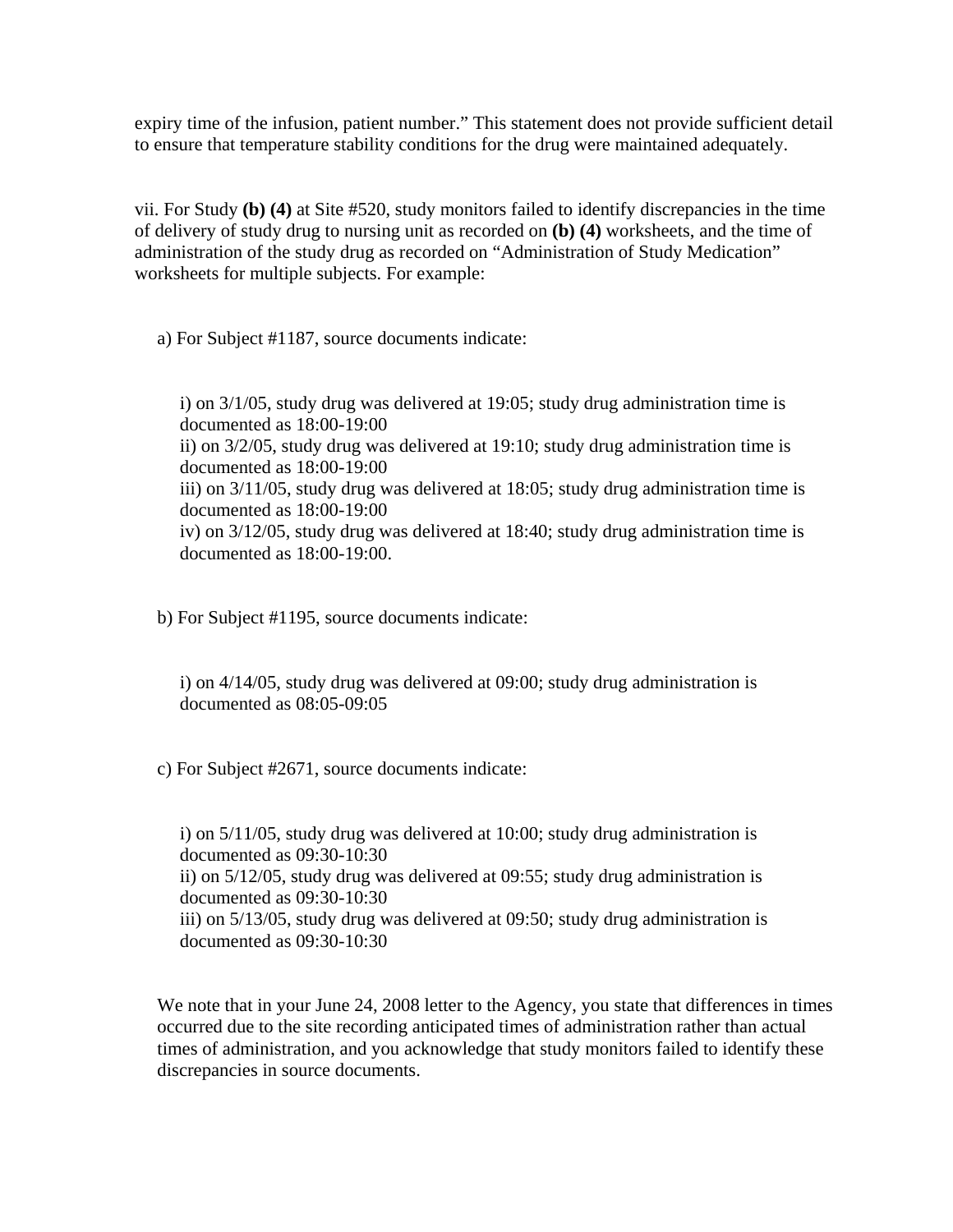expiry time of the infusion, patient number." This statement does not provide sufficient detail to ensure that temperature stability conditions for the drug were maintained adequately.

vii. For Study **(b) (4)** at Site #520, study monitors failed to identify discrepancies in the time of delivery of study drug to nursing unit as recorded on **(b) (4)** worksheets, and the time of administration of the study drug as recorded on "Administration of Study Medication" worksheets for multiple subjects. For example:

a) For Subject #1187, source documents indicate:

i) on 3/1/05, study drug was delivered at 19:05; study drug administration time is documented as 18:00-19:00 ii) on 3/2/05, study drug was delivered at 19:10; study drug administration time is documented as 18:00-19:00 iii) on 3/11/05, study drug was delivered at 18:05; study drug administration time is documented as 18:00-19:00 iv) on 3/12/05, study drug was delivered at 18:40; study drug administration time is documented as 18:00-19:00.

b) For Subject #1195, source documents indicate:

i) on 4/14/05, study drug was delivered at 09:00; study drug administration is documented as 08:05-09:05

c) For Subject #2671, source documents indicate:

i) on 5/11/05, study drug was delivered at 10:00; study drug administration is documented as 09:30-10:30 ii) on 5/12/05, study drug was delivered at 09:55; study drug administration is documented as 09:30-10:30 iii) on 5/13/05, study drug was delivered at 09:50; study drug administration is documented as 09:30-10:30

We note that in your June 24, 2008 letter to the Agency, you state that differences in times occurred due to the site recording anticipated times of administration rather than actual times of administration, and you acknowledge that study monitors failed to identify these discrepancies in source documents.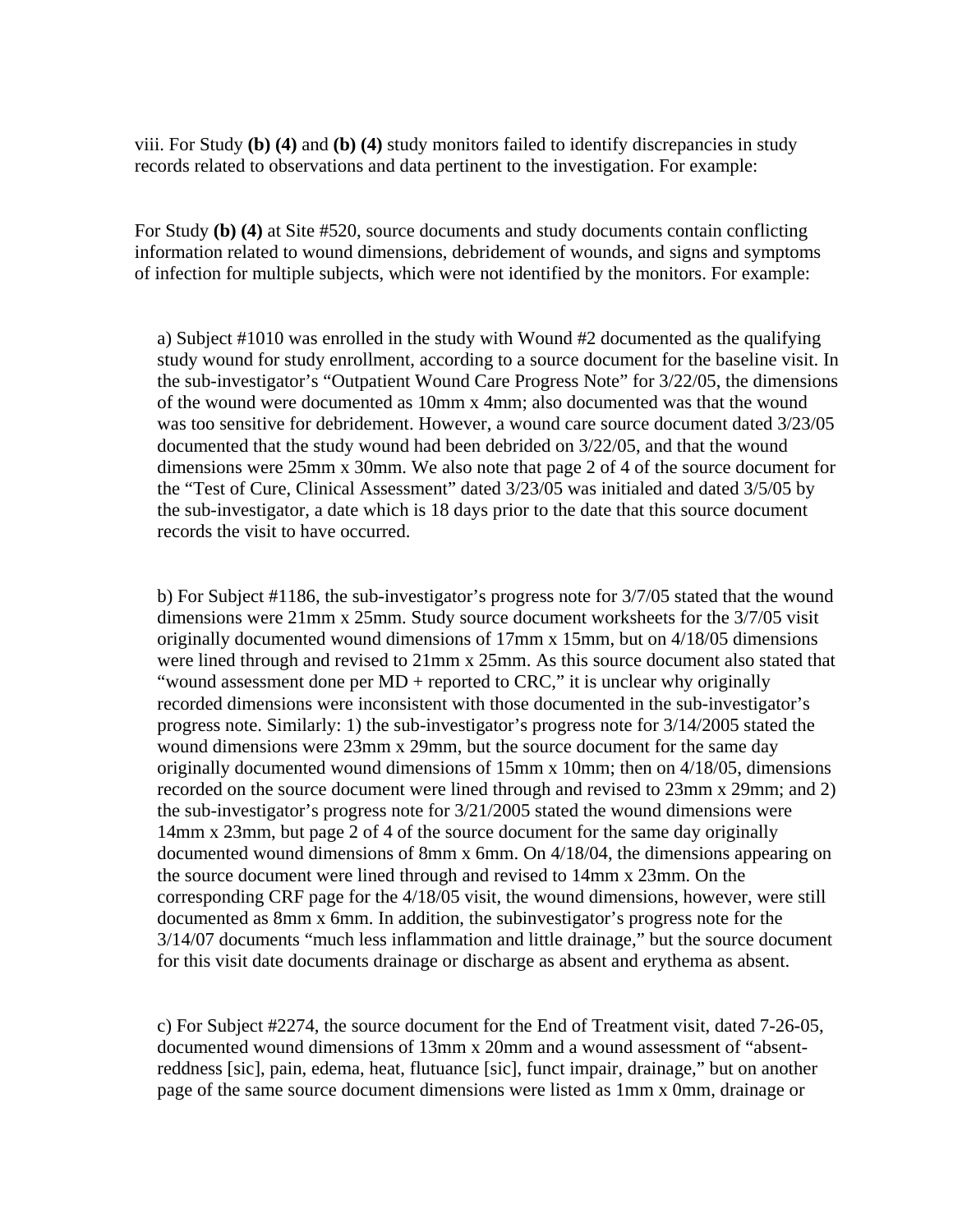viii. For Study **(b) (4)** and **(b) (4)** study monitors failed to identify discrepancies in study records related to observations and data pertinent to the investigation. For example:

For Study **(b) (4)** at Site #520, source documents and study documents contain conflicting information related to wound dimensions, debridement of wounds, and signs and symptoms of infection for multiple subjects, which were not identified by the monitors. For example:

a) Subject #1010 was enrolled in the study with Wound #2 documented as the qualifying study wound for study enrollment, according to a source document for the baseline visit. In the sub-investigator's "Outpatient Wound Care Progress Note" for 3/22/05, the dimensions of the wound were documented as 10mm x 4mm; also documented was that the wound was too sensitive for debridement. However, a wound care source document dated 3/23/05 documented that the study wound had been debrided on 3/22/05, and that the wound dimensions were 25mm x 30mm. We also note that page 2 of 4 of the source document for the "Test of Cure, Clinical Assessment" dated 3/23/05 was initialed and dated 3/5/05 by the sub-investigator, a date which is 18 days prior to the date that this source document records the visit to have occurred.

b) For Subject #1186, the sub-investigator's progress note for 3/7/05 stated that the wound dimensions were 21mm x 25mm. Study source document worksheets for the 3/7/05 visit originally documented wound dimensions of 17mm x 15mm, but on 4/18/05 dimensions were lined through and revised to 21mm x 25mm. As this source document also stated that "wound assessment done per MD + reported to CRC," it is unclear why originally recorded dimensions were inconsistent with those documented in the sub-investigator's progress note. Similarly: 1) the sub-investigator's progress note for 3/14/2005 stated the wound dimensions were 23mm x 29mm, but the source document for the same day originally documented wound dimensions of 15mm x 10mm; then on 4/18/05, dimensions recorded on the source document were lined through and revised to 23mm x 29mm; and 2) the sub-investigator's progress note for 3/21/2005 stated the wound dimensions were 14mm x 23mm, but page 2 of 4 of the source document for the same day originally documented wound dimensions of 8mm x 6mm. On 4/18/04, the dimensions appearing on the source document were lined through and revised to 14mm x 23mm. On the corresponding CRF page for the 4/18/05 visit, the wound dimensions, however, were still documented as 8mm x 6mm. In addition, the subinvestigator's progress note for the 3/14/07 documents "much less inflammation and little drainage," but the source document for this visit date documents drainage or discharge as absent and erythema as absent.

c) For Subject #2274, the source document for the End of Treatment visit, dated 7-26-05, documented wound dimensions of 13mm x 20mm and a wound assessment of "absentreddness [sic], pain, edema, heat, flutuance [sic], funct impair, drainage," but on another page of the same source document dimensions were listed as 1mm x 0mm, drainage or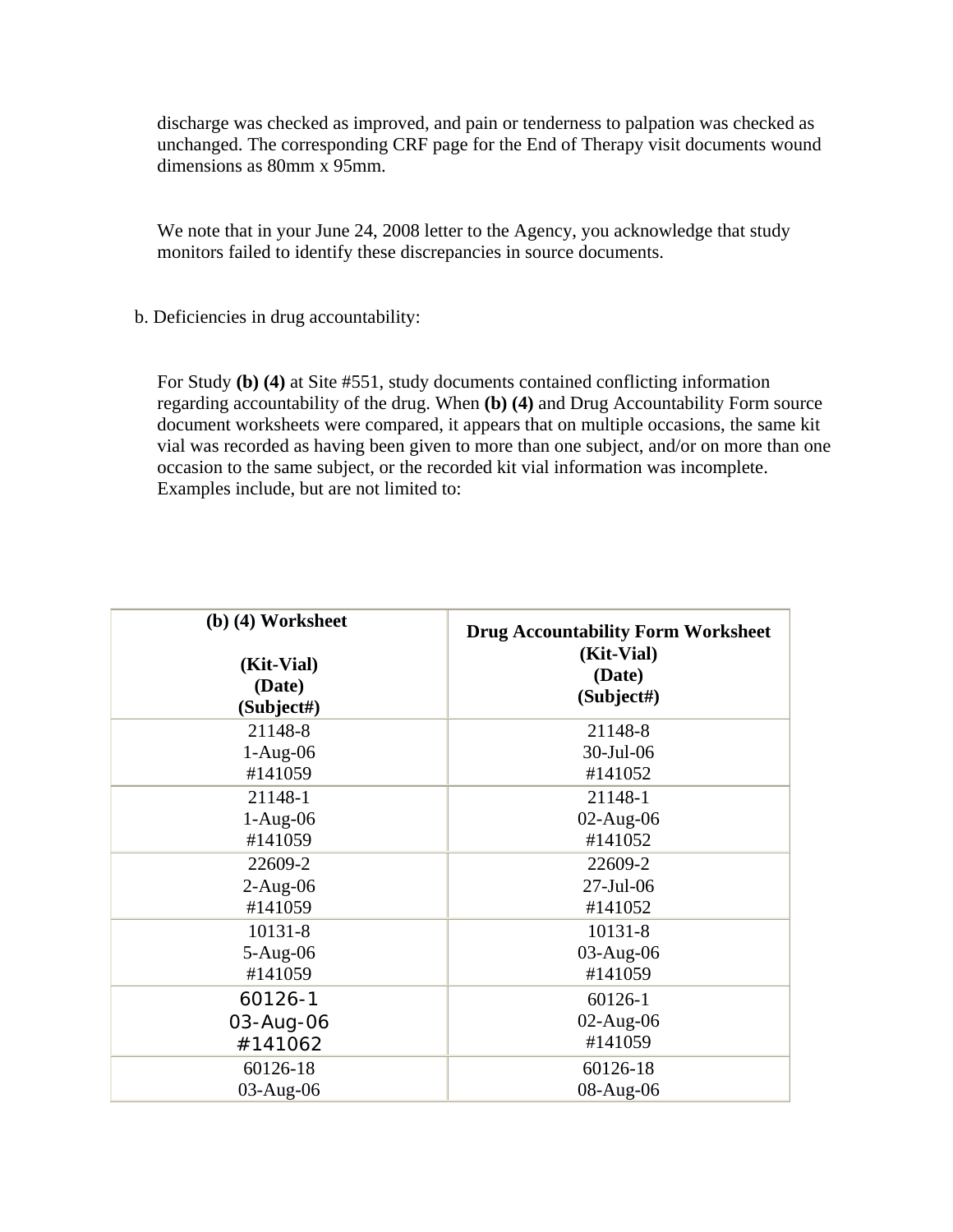discharge was checked as improved, and pain or tenderness to palpation was checked as unchanged. The corresponding CRF page for the End of Therapy visit documents wound dimensions as 80mm x 95mm.

We note that in your June 24, 2008 letter to the Agency, you acknowledge that study monitors failed to identify these discrepancies in source documents.

b. Deficiencies in drug accountability:

For Study **(b) (4)** at Site #551, study documents contained conflicting information regarding accountability of the drug. When **(b) (4)** and Drug Accountability Form source document worksheets were compared, it appears that on multiple occasions, the same kit vial was recorded as having been given to more than one subject, and/or on more than one occasion to the same subject, or the recorded kit vial information was incomplete. Examples include, but are not limited to:

| $(b)$ (4) Worksheet<br>(Kit-Vial)<br>(Date)<br>(Subject#) | <b>Drug Accountability Form Worksheet</b><br>(Kit-Vial)<br>(Date)<br>(Subject#) |
|-----------------------------------------------------------|---------------------------------------------------------------------------------|
| 21148-8                                                   | 21148-8                                                                         |
| $1-Aug-06$                                                | 30-Jul-06                                                                       |
| #141059                                                   | #141052                                                                         |
| 21148-1                                                   | 21148-1                                                                         |
| $1-Aug-06$                                                | $02$ -Aug- $06$                                                                 |
| #141059                                                   | #141052                                                                         |
| 22609-2                                                   | 22609-2                                                                         |
| $2-Aug-06$                                                | $27$ -Jul-06                                                                    |
| #141059                                                   | #141052                                                                         |
| 10131-8                                                   | 10131-8                                                                         |
| $5-Aug-06$                                                | 03-Aug-06                                                                       |
| #141059                                                   | #141059                                                                         |
| 60126-1                                                   | 60126-1                                                                         |
| 03-Aug-06                                                 | $02$ -Aug- $06$                                                                 |
| #141062                                                   | #141059                                                                         |
| 60126-18                                                  | 60126-18                                                                        |
| 03-Aug-06                                                 | 08-Aug-06                                                                       |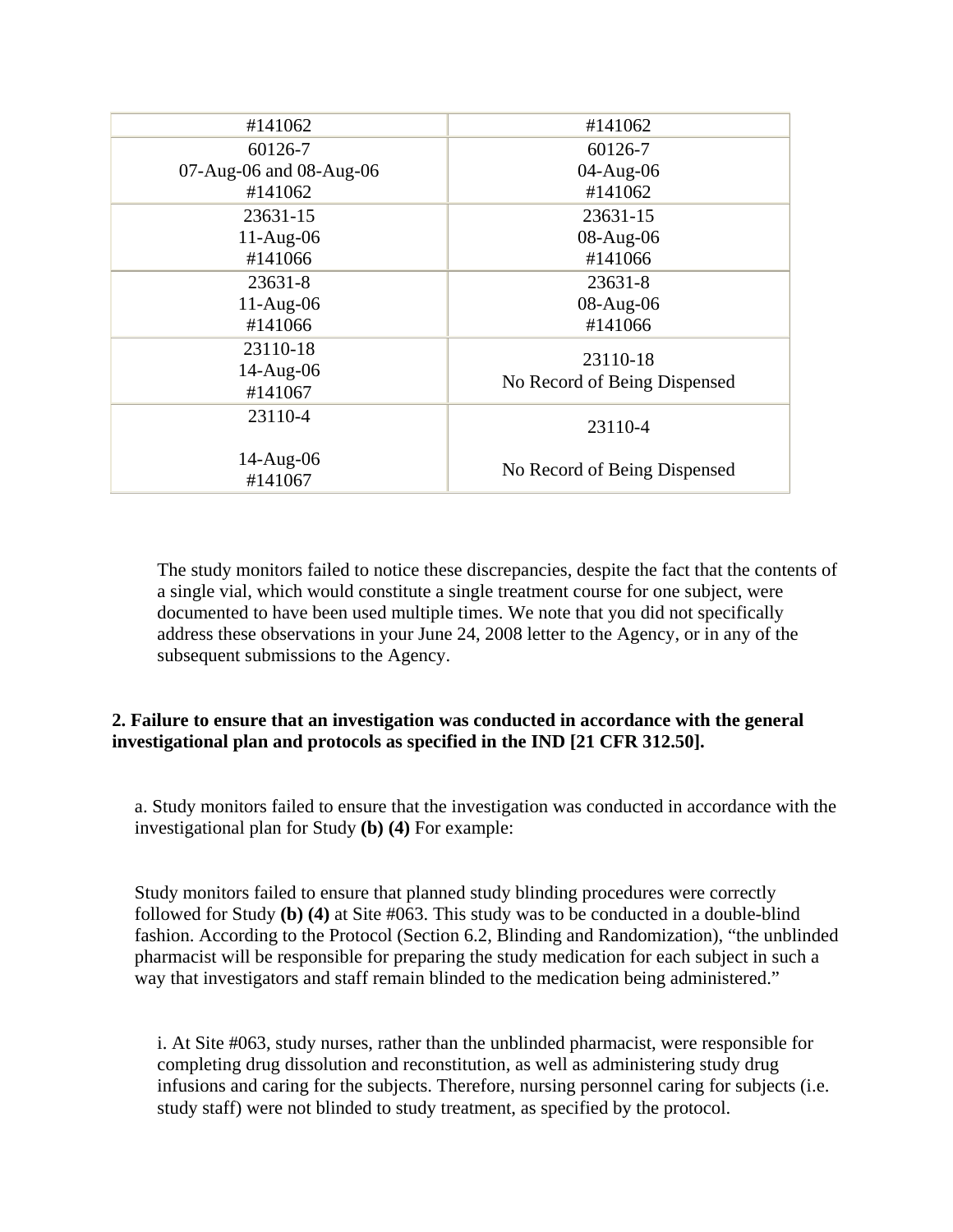| #141062                          | #141062                                  |
|----------------------------------|------------------------------------------|
| 60126-7                          | 60126-7                                  |
| 07-Aug-06 and 08-Aug-06          | 04-Aug-06                                |
| #141062                          | #141062                                  |
| 23631-15                         | 23631-15                                 |
| $11-Aug-06$                      | 08-Aug-06                                |
| #141066                          | #141066                                  |
| 23631-8                          | 23631-8                                  |
| $11-Aug-06$                      | 08-Aug-06                                |
| #141066                          | #141066                                  |
| 23110-18<br>14-Aug-06<br>#141067 | 23110-18<br>No Record of Being Dispensed |
| 23110-4                          | 23110-4                                  |
| 14-Aug-06<br>#141067             | No Record of Being Dispensed             |

The study monitors failed to notice these discrepancies, despite the fact that the contents of a single vial, which would constitute a single treatment course for one subject, were documented to have been used multiple times. We note that you did not specifically address these observations in your June 24, 2008 letter to the Agency, or in any of the subsequent submissions to the Agency.

# **2. Failure to ensure that an investigation was conducted in accordance with the general investigational plan and protocols as specified in the IND [21 CFR 312.50].**

a. Study monitors failed to ensure that the investigation was conducted in accordance with the investigational plan for Study **(b) (4)** For example:

Study monitors failed to ensure that planned study blinding procedures were correctly followed for Study **(b) (4)** at Site #063. This study was to be conducted in a double-blind fashion. According to the Protocol (Section 6.2, Blinding and Randomization), "the unblinded pharmacist will be responsible for preparing the study medication for each subject in such a way that investigators and staff remain blinded to the medication being administered."

i. At Site #063, study nurses, rather than the unblinded pharmacist, were responsible for completing drug dissolution and reconstitution, as well as administering study drug infusions and caring for the subjects. Therefore, nursing personnel caring for subjects (i.e. study staff) were not blinded to study treatment, as specified by the protocol.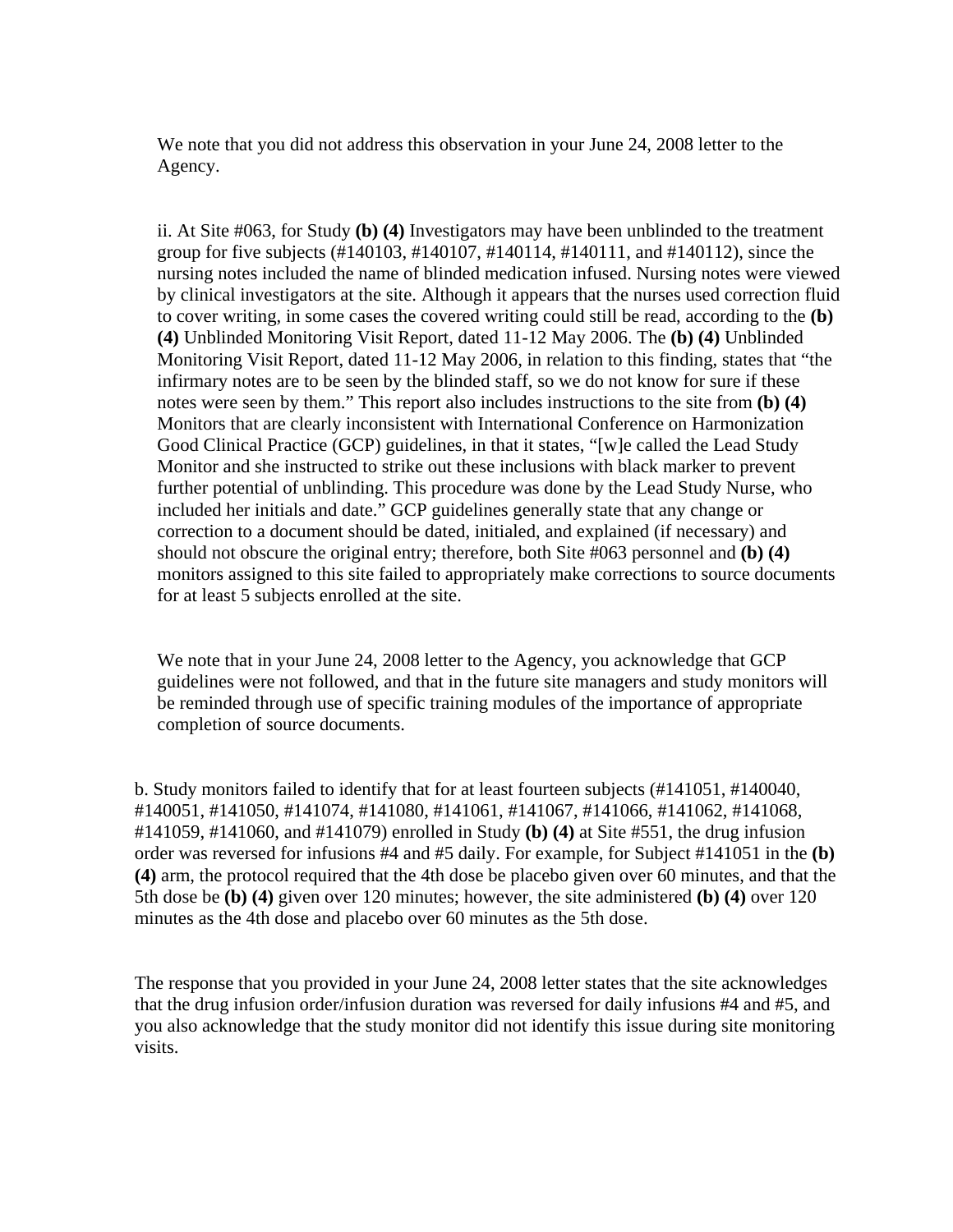We note that you did not address this observation in your June 24, 2008 letter to the Agency.

ii. At Site #063, for Study **(b) (4)** Investigators may have been unblinded to the treatment group for five subjects (#140103, #140107, #140114, #140111, and #140112), since the nursing notes included the name of blinded medication infused. Nursing notes were viewed by clinical investigators at the site. Although it appears that the nurses used correction fluid to cover writing, in some cases the covered writing could still be read, according to the **(b) (4)** Unblinded Monitoring Visit Report, dated 11-12 May 2006. The **(b) (4)** Unblinded Monitoring Visit Report, dated 11-12 May 2006, in relation to this finding, states that "the infirmary notes are to be seen by the blinded staff, so we do not know for sure if these notes were seen by them." This report also includes instructions to the site from **(b) (4)** Monitors that are clearly inconsistent with International Conference on Harmonization Good Clinical Practice (GCP) guidelines, in that it states, "[w]e called the Lead Study Monitor and she instructed to strike out these inclusions with black marker to prevent further potential of unblinding. This procedure was done by the Lead Study Nurse, who included her initials and date." GCP guidelines generally state that any change or correction to a document should be dated, initialed, and explained (if necessary) and should not obscure the original entry; therefore, both Site #063 personnel and **(b) (4)**  monitors assigned to this site failed to appropriately make corrections to source documents for at least 5 subjects enrolled at the site.

We note that in your June 24, 2008 letter to the Agency, you acknowledge that GCP guidelines were not followed, and that in the future site managers and study monitors will be reminded through use of specific training modules of the importance of appropriate completion of source documents.

b. Study monitors failed to identify that for at least fourteen subjects (#141051, #140040, #140051, #141050, #141074, #141080, #141061, #141067, #141066, #141062, #141068, #141059, #141060, and #141079) enrolled in Study **(b) (4)** at Site #551, the drug infusion order was reversed for infusions #4 and #5 daily. For example, for Subject #141051 in the **(b) (4)** arm, the protocol required that the 4th dose be placebo given over 60 minutes, and that the 5th dose be **(b) (4)** given over 120 minutes; however, the site administered **(b) (4)** over 120 minutes as the 4th dose and placebo over 60 minutes as the 5th dose.

The response that you provided in your June 24, 2008 letter states that the site acknowledges that the drug infusion order/infusion duration was reversed for daily infusions #4 and #5, and you also acknowledge that the study monitor did not identify this issue during site monitoring visits.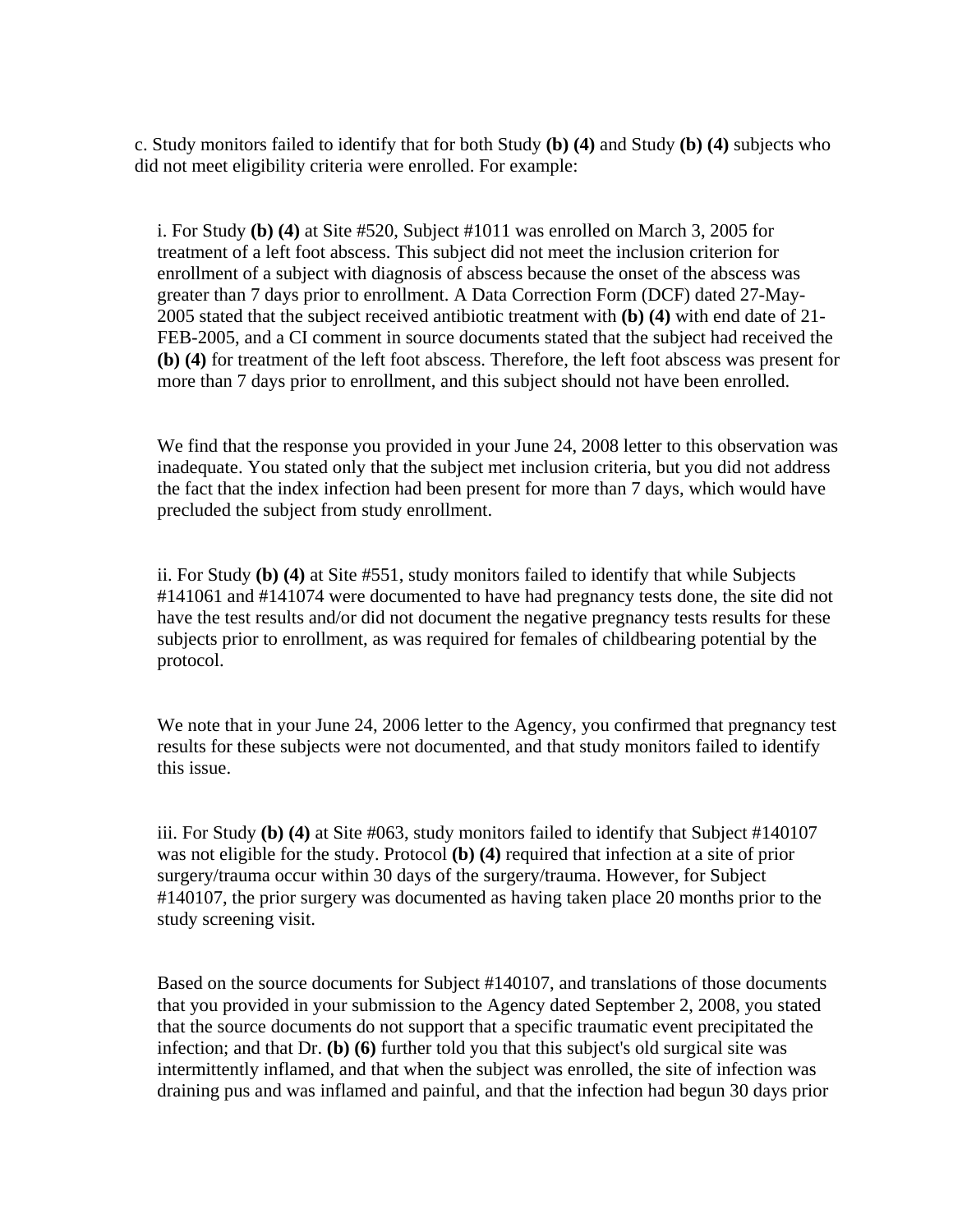c. Study monitors failed to identify that for both Study **(b) (4)** and Study **(b) (4)** subjects who did not meet eligibility criteria were enrolled. For example:

i. For Study **(b) (4)** at Site #520, Subject #1011 was enrolled on March 3, 2005 for treatment of a left foot abscess. This subject did not meet the inclusion criterion for enrollment of a subject with diagnosis of abscess because the onset of the abscess was greater than 7 days prior to enrollment. A Data Correction Form (DCF) dated 27-May-2005 stated that the subject received antibiotic treatment with **(b) (4)** with end date of 21- FEB-2005, and a CI comment in source documents stated that the subject had received the **(b) (4)** for treatment of the left foot abscess. Therefore, the left foot abscess was present for more than 7 days prior to enrollment, and this subject should not have been enrolled.

We find that the response you provided in your June 24, 2008 letter to this observation was inadequate. You stated only that the subject met inclusion criteria, but you did not address the fact that the index infection had been present for more than 7 days, which would have precluded the subject from study enrollment.

ii. For Study **(b) (4)** at Site #551, study monitors failed to identify that while Subjects #141061 and #141074 were documented to have had pregnancy tests done, the site did not have the test results and/or did not document the negative pregnancy tests results for these subjects prior to enrollment, as was required for females of childbearing potential by the protocol.

We note that in your June 24, 2006 letter to the Agency, you confirmed that pregnancy test results for these subjects were not documented, and that study monitors failed to identify this issue.

iii. For Study **(b) (4)** at Site #063, study monitors failed to identify that Subject #140107 was not eligible for the study. Protocol **(b) (4)** required that infection at a site of prior surgery/trauma occur within 30 days of the surgery/trauma. However, for Subject #140107, the prior surgery was documented as having taken place 20 months prior to the study screening visit.

Based on the source documents for Subject #140107, and translations of those documents that you provided in your submission to the Agency dated September 2, 2008, you stated that the source documents do not support that a specific traumatic event precipitated the infection; and that Dr. **(b) (6)** further told you that this subject's old surgical site was intermittently inflamed, and that when the subject was enrolled, the site of infection was draining pus and was inflamed and painful, and that the infection had begun 30 days prior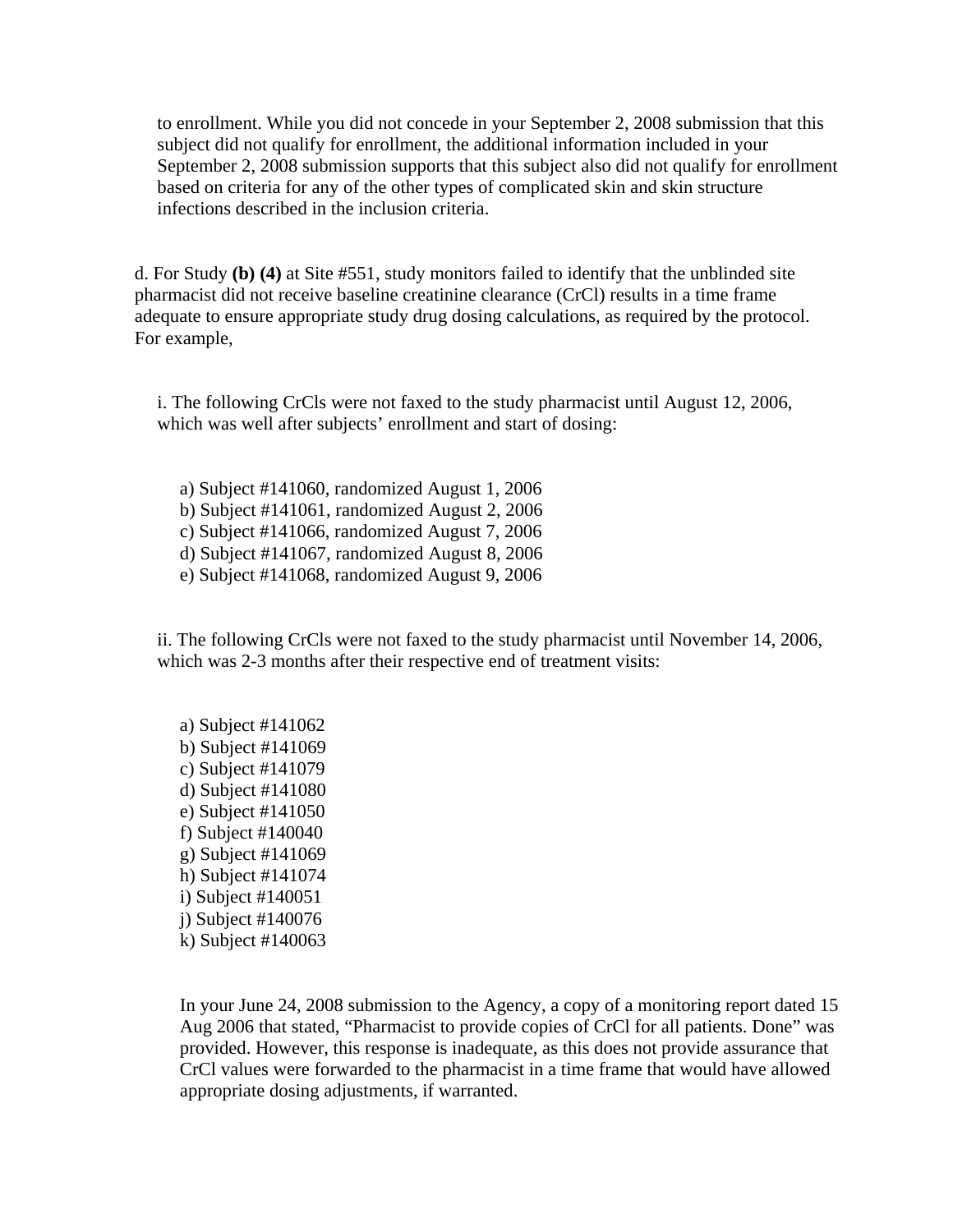to enrollment. While you did not concede in your September 2, 2008 submission that this subject did not qualify for enrollment, the additional information included in your September 2, 2008 submission supports that this subject also did not qualify for enrollment based on criteria for any of the other types of complicated skin and skin structure infections described in the inclusion criteria.

d. For Study **(b) (4)** at Site #551, study monitors failed to identify that the unblinded site pharmacist did not receive baseline creatinine clearance (CrCl) results in a time frame adequate to ensure appropriate study drug dosing calculations, as required by the protocol. For example,

i. The following CrCls were not faxed to the study pharmacist until August 12, 2006, which was well after subjects' enrollment and start of dosing:

a) Subject #141060, randomized August 1, 2006 b) Subject #141061, randomized August 2, 2006 c) Subject #141066, randomized August 7, 2006 d) Subject #141067, randomized August 8, 2006 e) Subject #141068, randomized August 9, 2006

ii. The following CrCls were not faxed to the study pharmacist until November 14, 2006, which was 2-3 months after their respective end of treatment visits:

a) Subject #141062 b) Subject #141069 c) Subject #141079 d) Subject #141080 e) Subject #141050 f) Subject #140040 g) Subject #141069 h) Subject #141074 i) Subject #140051 j) Subject #140076 k) Subject #140063

In your June 24, 2008 submission to the Agency, a copy of a monitoring report dated 15 Aug 2006 that stated, "Pharmacist to provide copies of CrCl for all patients. Done" was provided. However, this response is inadequate, as this does not provide assurance that CrCl values were forwarded to the pharmacist in a time frame that would have allowed appropriate dosing adjustments, if warranted.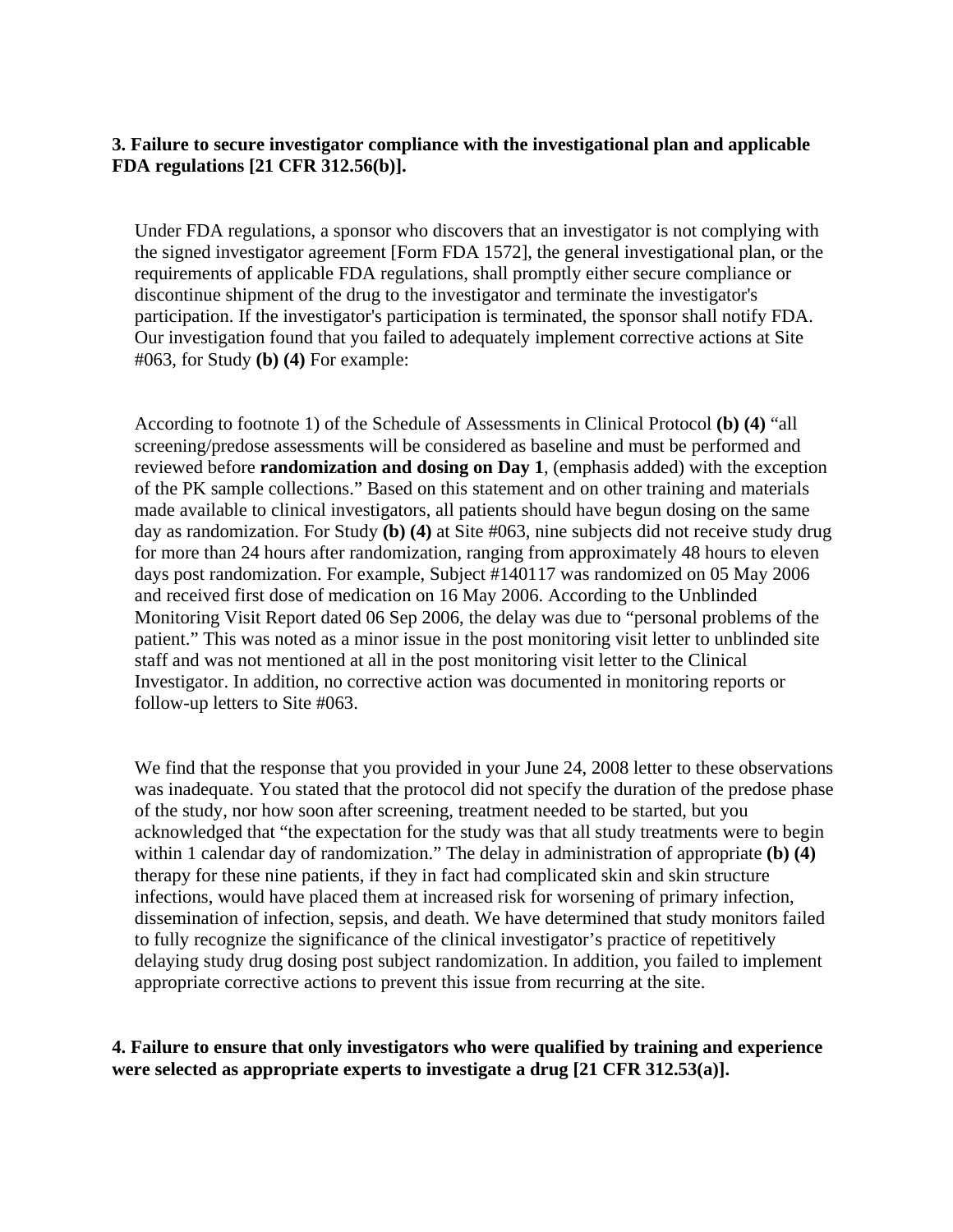# **3. Failure to secure investigator compliance with the investigational plan and applicable FDA regulations [21 CFR 312.56(b)].**

Under FDA regulations, a sponsor who discovers that an investigator is not complying with the signed investigator agreement [Form FDA 1572], the general investigational plan, or the requirements of applicable FDA regulations, shall promptly either secure compliance or discontinue shipment of the drug to the investigator and terminate the investigator's participation. If the investigator's participation is terminated, the sponsor shall notify FDA. Our investigation found that you failed to adequately implement corrective actions at Site #063, for Study **(b) (4)** For example:

According to footnote 1) of the Schedule of Assessments in Clinical Protocol **(b) (4)** "all screening/predose assessments will be considered as baseline and must be performed and reviewed before **randomization and dosing on Day 1**, (emphasis added) with the exception of the PK sample collections." Based on this statement and on other training and materials made available to clinical investigators, all patients should have begun dosing on the same day as randomization. For Study **(b) (4)** at Site #063, nine subjects did not receive study drug for more than 24 hours after randomization, ranging from approximately 48 hours to eleven days post randomization. For example, Subject #140117 was randomized on 05 May 2006 and received first dose of medication on 16 May 2006. According to the Unblinded Monitoring Visit Report dated 06 Sep 2006, the delay was due to "personal problems of the patient." This was noted as a minor issue in the post monitoring visit letter to unblinded site staff and was not mentioned at all in the post monitoring visit letter to the Clinical Investigator. In addition, no corrective action was documented in monitoring reports or follow-up letters to Site #063.

We find that the response that you provided in your June 24, 2008 letter to these observations was inadequate. You stated that the protocol did not specify the duration of the predose phase of the study, nor how soon after screening, treatment needed to be started, but you acknowledged that "the expectation for the study was that all study treatments were to begin within 1 calendar day of randomization." The delay in administration of appropriate **(b) (4)** therapy for these nine patients, if they in fact had complicated skin and skin structure infections, would have placed them at increased risk for worsening of primary infection, dissemination of infection, sepsis, and death. We have determined that study monitors failed to fully recognize the significance of the clinical investigator's practice of repetitively delaying study drug dosing post subject randomization. In addition, you failed to implement appropriate corrective actions to prevent this issue from recurring at the site.

**4. Failure to ensure that only investigators who were qualified by training and experience were selected as appropriate experts to investigate a drug [21 CFR 312.53(a)].**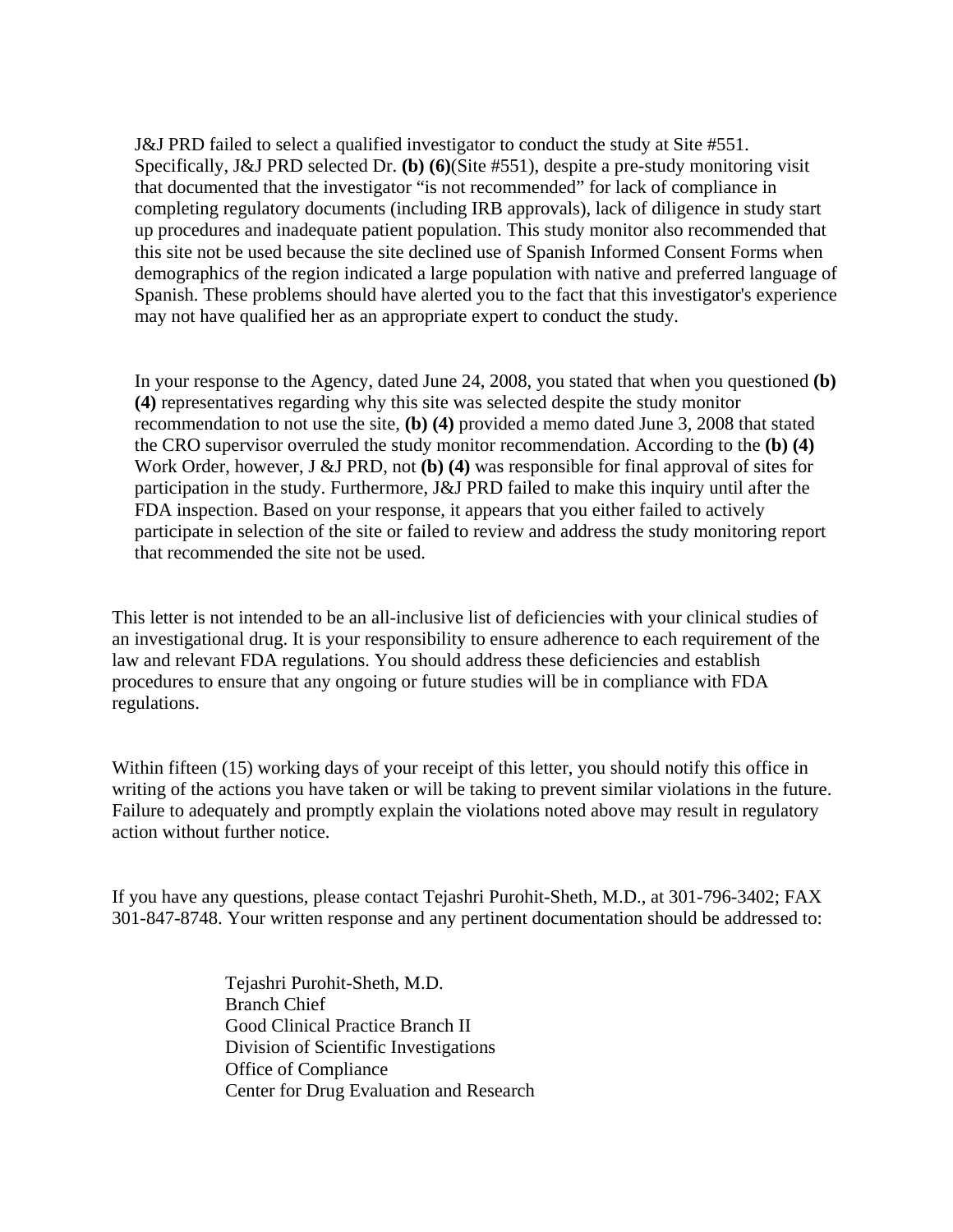J&J PRD failed to select a qualified investigator to conduct the study at Site #551. Specifically, J&J PRD selected Dr. **(b) (6)**(Site #551), despite a pre-study monitoring visit that documented that the investigator "is not recommended" for lack of compliance in completing regulatory documents (including IRB approvals), lack of diligence in study start up procedures and inadequate patient population. This study monitor also recommended that this site not be used because the site declined use of Spanish Informed Consent Forms when demographics of the region indicated a large population with native and preferred language of Spanish. These problems should have alerted you to the fact that this investigator's experience may not have qualified her as an appropriate expert to conduct the study.

In your response to the Agency, dated June 24, 2008, you stated that when you questioned **(b) (4)** representatives regarding why this site was selected despite the study monitor recommendation to not use the site, **(b) (4)** provided a memo dated June 3, 2008 that stated the CRO supervisor overruled the study monitor recommendation. According to the **(b) (4)** Work Order, however, J &J PRD, not **(b) (4)** was responsible for final approval of sites for participation in the study. Furthermore, J&J PRD failed to make this inquiry until after the FDA inspection. Based on your response, it appears that you either failed to actively participate in selection of the site or failed to review and address the study monitoring report that recommended the site not be used.

This letter is not intended to be an all-inclusive list of deficiencies with your clinical studies of an investigational drug. It is your responsibility to ensure adherence to each requirement of the law and relevant FDA regulations. You should address these deficiencies and establish procedures to ensure that any ongoing or future studies will be in compliance with FDA regulations.

Within fifteen (15) working days of your receipt of this letter, you should notify this office in writing of the actions you have taken or will be taking to prevent similar violations in the future. Failure to adequately and promptly explain the violations noted above may result in regulatory action without further notice.

If you have any questions, please contact Tejashri Purohit-Sheth, M.D., at 301-796-3402; FAX 301-847-8748. Your written response and any pertinent documentation should be addressed to:

> Tejashri Purohit-Sheth, M.D. Branch Chief Good Clinical Practice Branch II Division of Scientific Investigations Office of Compliance Center for Drug Evaluation and Research